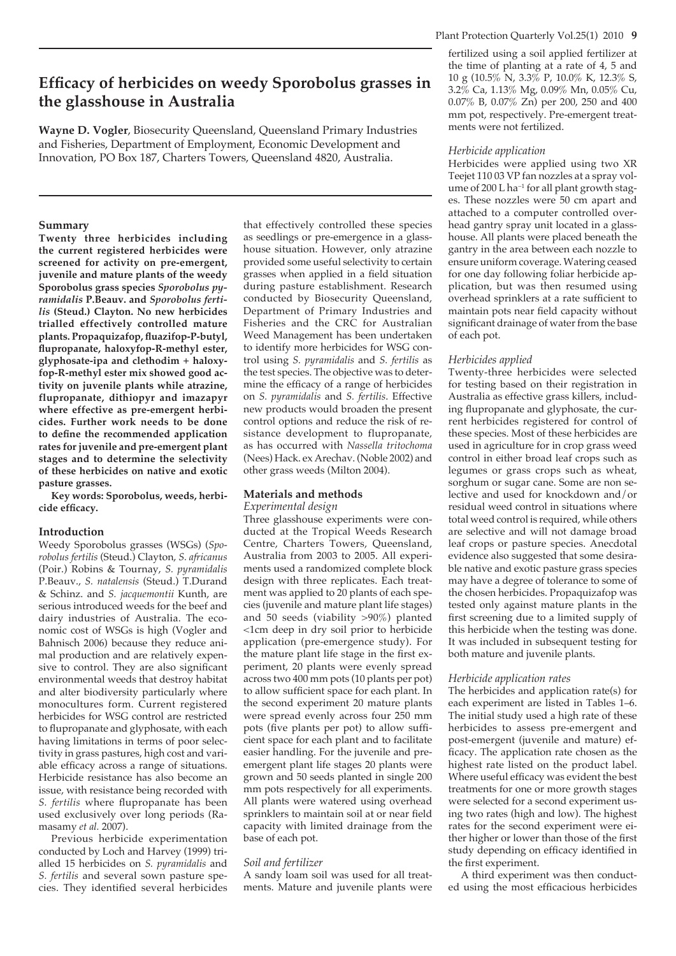# **Efficacy of herbicides on weedy Sporobolus grasses in the glasshouse in Australia**

**Wayne D. Vogler**, Biosecurity Queensland, Queensland Primary Industries and Fisheries, Department of Employment, Economic Development and Innovation, PO Box 187, Charters Towers, Queensland 4820, Australia.

## **Summary**

**Twenty three herbicides including the current registered herbicides were screened for activity on pre-emergent, juvenile and mature plants of the weedy Sporobolus grass species** *Sporobolus pyramidalis* **P.Beauv. and** *Sporobolus fertilis* **(Steud.) Clayton. No new herbicides trialled effectively controlled mature plants. Propaquizafop, fl uazifop-P-butyl,**  flupropanate, haloxyfop-R-methyl ester, **glyphosate-ipa and clethodim + haloxyfop-R-methyl ester mix showed good activity on juvenile plants while atrazine, flupropanate, dithiopyr and imazapyr where effective as pre-emergent herbicides. Further work needs to be done**  to define the recommended application **rates for juvenile and pre-emergent plant stages and to determine the selectivity of these herbicides on native and exotic pasture grasses.** 

**Key words: Sporobolus, weeds, herbi**cide efficacy.

# **Introduction**

Weedy Sporobolus grasses (WSGs) (*Sporobolus fertilis* (Steud.) Clayton, *S. africanus*  (Poir.) Robins & Tournay, *S. pyramidalis*  P.Beauv., *S. natalensis* (Steud.) T.Durand & Schinz. and *S. jacquemontii* Kunth, are serious introduced weeds for the beef and dairy industries of Australia. The economic cost of WSGs is high (Vogler and Bahnisch 2006) because they reduce animal production and are relatively expensive to control. They are also significant environmental weeds that destroy habitat and alter biodiversity particularly where monocultures form. Current registered herbicides for WSG control are restricted to flupropanate and glyphosate, with each having limitations in terms of poor selectivity in grass pastures, high cost and variable efficacy across a range of situations. Herbicide resistance has also become an issue, with resistance being recorded with *S. fertilis* where flupropanate has been used exclusively over long periods (Ramasamy *et al.* 2007).

Previous herbicide experimentation conducted by Loch and Harvey (1999) trialled 15 herbicides on *S. pyramidalis* and *S. fertilis* and several sown pasture species. They identified several herbicides that effectively controlled these species as seedlings or pre-emergence in a glasshouse situation. However, only atrazine provided some useful selectivity to certain grasses when applied in a field situation during pasture establishment. Research conducted by Biosecurity Queensland, Department of Primary Industries and Fisheries and the CRC for Australian Weed Management has been undertaken to identify more herbicides for WSG control using *S. pyramidalis* and *S. fertilis* as the test species. The objective was to determine the efficacy of a range of herbicides on *S. pyramidalis* and *S. fertilis*. Effective new products would broaden the present control options and reduce the risk of resistance development to flupropanate, as has occurred with *Nassella tritochoma* (Nees) Hack. ex Arechav. (Noble 2002) and other grass weeds (Milton 2004).

# **Materials and methods**

*Experimental design*

Three glasshouse experiments were conducted at the Tropical Weeds Research Centre, Charters Towers, Queensland, Australia from 2003 to 2005. All experiments used a randomized complete block design with three replicates. Each treatment was applied to 20 plants of each species (juvenile and mature plant life stages) and 50 seeds (viability >90%) planted <1cm deep in dry soil prior to herbicide application (pre-emergence study). For the mature plant life stage in the first experiment, 20 plants were evenly spread across two 400 mm pots (10 plants per pot) to allow sufficient space for each plant. In the second experiment 20 mature plants were spread evenly across four 250 mm pots (five plants per pot) to allow sufficient space for each plant and to facilitate easier handling. For the juvenile and preemergent plant life stages 20 plants were grown and 50 seeds planted in single 200 mm pots respectively for all experiments. All plants were watered using overhead sprinklers to maintain soil at or near field capacity with limited drainage from the base of each pot.

# *Soil and fertilizer*

A sandy loam soil was used for all treatments. Mature and juvenile plants were fertilized using a soil applied fertilizer at the time of planting at a rate of 4, 5 and 10 g (10.5% N, 3.3% P, 10.0% K, 12.3% S, 3.2% Ca, 1.13% Mg, 0.09% Mn, 0.05% Cu, 0.07% B, 0.07% Zn) per 200, 250 and 400 mm pot, respectively. Pre-emergent treatments were not fertilized.

## *Herbicide application*

Herbicides were applied using two XR Teejet 110 03 VP fan nozzles at a spray volume of 200 L ha<sup>−</sup><sup>1</sup> for all plant growth stages. These nozzles were 50 cm apart and attached to a computer controlled overhead gantry spray unit located in a glasshouse. All plants were placed beneath the gantry in the area between each nozzle to ensure uniform coverage. Watering ceased for one day following foliar herbicide application, but was then resumed using overhead sprinklers at a rate sufficient to maintain pots near field capacity without significant drainage of water from the base of each pot.

# *Herbicides applied*

Twenty-three herbicides were selected for testing based on their registration in Australia as effective grass killers, including flupropanate and glyphosate, the current herbicides registered for control of these species. Most of these herbicides are used in agriculture for in crop grass weed control in either broad leaf crops such as legumes or grass crops such as wheat, sorghum or sugar cane. Some are non selective and used for knockdown and/or residual weed control in situations where total weed control is required, while others are selective and will not damage broad leaf crops or pasture species. Anecdotal evidence also suggested that some desirable native and exotic pasture grass species may have a degree of tolerance to some of the chosen herbicides. Propaquizafop was tested only against mature plants in the first screening due to a limited supply of this herbicide when the testing was done. It was included in subsequent testing for both mature and juvenile plants.

# *Herbicide application rates*

The herbicides and application rate(s) for each experiment are listed in Tables 1–6. The initial study used a high rate of these herbicides to assess pre-emergent and post-emergent (juvenile and mature) efficacy. The application rate chosen as the highest rate listed on the product label. Where useful efficacy was evident the best treatments for one or more growth stages were selected for a second experiment using two rates (high and low). The highest rates for the second experiment were either higher or lower than those of the first study depending on efficacy identified in the first experiment.

A third experiment was then conducted using the most efficacious herbicides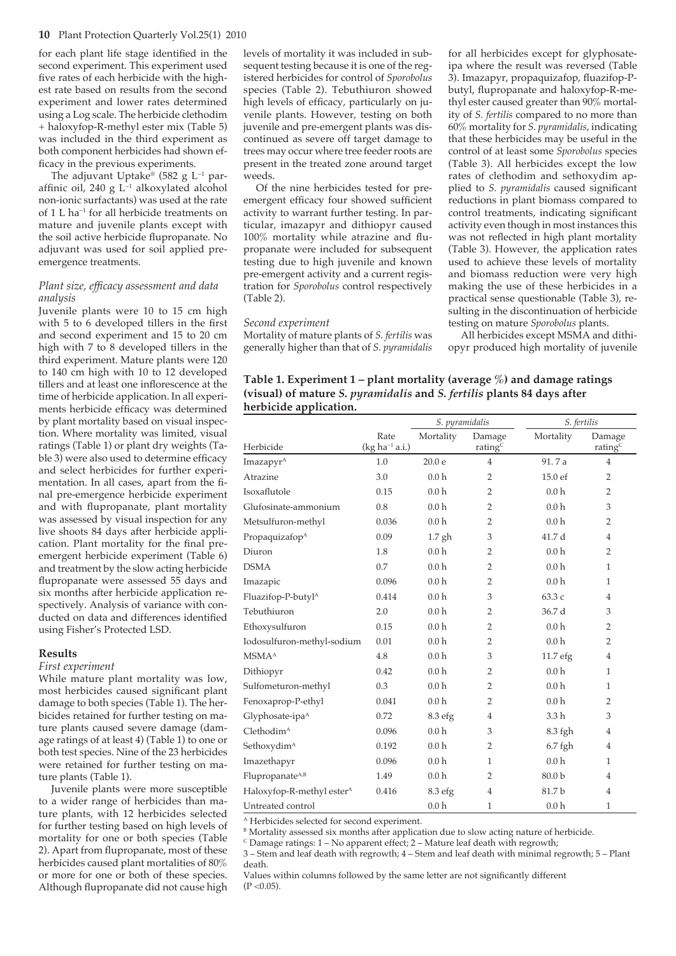for each plant life stage identified in the second experiment. This experiment used five rates of each herbicide with the highest rate based on results from the second experiment and lower rates determined using a Log scale. The herbicide clethodim + haloxyfop-R-methyl ester mix (Table 5) was included in the third experiment as both component herbicides had shown efficacy in the previous experiments.

The adjuvant Uptake® (582 g L−<sup>1</sup> paraffinic oil, 240 g L<sup>-1</sup> alkoxylated alcohol non-ionic surfactants) was used at the rate of 1 L ha<sup>−</sup><sup>1</sup> for all herbicide treatments on mature and juvenile plants except with the soil active herbicide flupropanate. No adjuvant was used for soil applied preemergence treatments.

## *Plant size, efficacy assessment and data analysis*

Juvenile plants were 10 to 15 cm high with 5 to 6 developed tillers in the first and second experiment and 15 to 20 cm high with 7 to 8 developed tillers in the third experiment. Mature plants were 120 to 140 cm high with 10 to 12 developed tillers and at least one inflorescence at the time of herbicide application. In all experiments herbicide efficacy was determined by plant mortality based on visual inspection. Where mortality was limited, visual ratings (Table 1) or plant dry weights (Table 3) were also used to determine efficacy and select herbicides for further experimentation. In all cases, apart from the final pre-emergence herbicide experiment and with flupropanate, plant mortality was assessed by visual inspection for any live shoots 84 days after herbicide application. Plant mortality for the final preemergent herbicide experiment (Table 6) and treatment by the slow acting herbicide flupropanate were assessed 55 days and six months after herbicide application respectively. Analysis of variance with conducted on data and differences identified using Fisher's Protected LSD.

#### **Results**

*First experiment*

While mature plant mortality was low. most herbicides caused significant plant damage to both species (Table 1). The herbicides retained for further testing on mature plants caused severe damage (damage ratings of at least 4) (Table 1) to one or both test species. Nine of the 23 herbicides were retained for further testing on mature plants (Table 1).

Juvenile plants were more susceptible to a wider range of herbicides than mature plants, with 12 herbicides selected for further testing based on high levels of mortality for one or both species (Table 2). Apart from flupropanate, most of these herbicides caused plant mortalities of 80% or more for one or both of these species. Although flupropanate did not cause high levels of mortality it was included in subsequent testing because it is one of the registered herbicides for control of *Sporobolus*  species (Table 2). Tebuthiuron showed high levels of efficacy, particularly on juvenile plants. However, testing on both juvenile and pre-emergent plants was discontinued as severe off target damage to trees may occur where tree feeder roots are present in the treated zone around target weeds.

Of the nine herbicides tested for preemergent efficacy four showed sufficient activity to warrant further testing. In particular, imazapyr and dithiopyr caused  $100\%$  mortality while atrazine and flupropanate were included for subsequent testing due to high juvenile and known pre-emergent activity and a current registration for *Sporobolus* control respectively (Table 2).

### *Second experiment*

Mortality of mature plants of *S. fertilis* was generally higher than that of *S. pyramidalis* for all herbicides except for glyphosateipa where the result was reversed (Table 3). Imazapyr, propaquizafop, fluazifop-Pbutyl, flupropanate and haloxyfop-R-methyl ester caused greater than 90% mortality of *S. fertilis* compared to no more than 60% mortality for *S. pyramidalis*, indicating that these herbicides may be useful in the control of at least some *Sporobolus* species (Table 3). All herbicides except the low rates of clethodim and sethoxydim applied to *S. pyramidalis* caused significant reductions in plant biomass compared to control treatments, indicating significant activity even though in most instances this was not reflected in high plant mortality (Table 3). However, the application rates used to achieve these levels of mortality and biomass reduction were very high making the use of these herbicides in a practical sense questionable (Table 3), resulting in the discontinuation of herbicide testing on mature *Sporobolus* plants.

All herbicides except MSMA and dithiopyr produced high mortality of juvenile

| Table 1. Experiment 1 – plant mortality (average $\%$ ) and damage ratings           |
|--------------------------------------------------------------------------------------|
| (visual) of mature S. <i>pyramidalis</i> and S. <i>fertilis</i> plants 84 days after |
| herbicide application.                                                               |

|                                        |                          | S. pyramidalis     |                               | S. fertilis       |                      |
|----------------------------------------|--------------------------|--------------------|-------------------------------|-------------------|----------------------|
| Herbicide                              | Rate<br>$(kg ha-1 a.i.)$ | Mortality          | Damage<br>rating <sup>C</sup> | Mortality         | Damage<br>rating $C$ |
| Imazapyr <sup>A</sup>                  | 1.0                      | 20.0 e             | $\overline{4}$                | 91.7a             | $\overline{4}$       |
| Atrazine                               | 3.0                      | 0.0 <sub>h</sub>   | 2                             | 15.0 ef           | 2                    |
| Isoxaflutole                           | 0.15                     | 0.0 <sub>h</sub>   | 2                             | 0.0 <sub>h</sub>  | 2                    |
| Glufosinate-ammonium                   | 0.8                      | 0.0 <sub>h</sub>   | 2                             | 0.0 <sub>h</sub>  | 3                    |
| Metsulfuron-methyl                     | 0.036                    | 0.0 <sub>h</sub>   | $\overline{2}$                | 0.0 <sub>h</sub>  | $\overline{2}$       |
| Propaquizafop <sup>A</sup>             | 0.09                     | $1.7$ gh           | 3                             | 41.7 d            | $\overline{4}$       |
| Diuron                                 | 1.8                      | 0.0 <sub>h</sub>   | 2                             | 0.0 <sub>h</sub>  | $\overline{2}$       |
| <b>DSMA</b>                            | 0.7                      | 0.0 <sub>h</sub>   | 2                             | 0.0 <sub>h</sub>  | $\mathbf{1}$         |
| Imazapic                               | 0.096                    | 0.0 <sub>h</sub>   | 2                             | 0.0 <sub>h</sub>  | 1                    |
| Fluazifop-P-butyl <sup>A</sup>         | 0.414                    | 0.0 <sub>h</sub>   | 3                             | 63.3 с            | $\overline{4}$       |
| Tebuthiuron                            | 2.0                      | 0.0 <sub>h</sub>   | 2                             | 36.7 d            | 3                    |
| Ethoxysulfuron                         | 0.15                     | 0.0 <sub>h</sub>   | 2                             | 0.0 <sub>h</sub>  | 2                    |
| Iodosulfuron-methyl-sodium             | 0.01                     | 0.0 <sub>h</sub>   | $\overline{2}$                | 0.0 <sub>h</sub>  | $\overline{2}$       |
| <b>MSMA</b> <sup>A</sup>               | 4.8                      | 0.0 <sub>h</sub>   | 3                             | 11.7 efg          | $\overline{4}$       |
| Dithiopyr                              | 0.42                     | 0.0 <sub>h</sub>   | $\overline{2}$                | 0.0 <sub>h</sub>  | $\mathbf{1}$         |
| Sulfometuron-methyl                    | 0.3                      | 0.0 <sub>h</sub>   | $\overline{2}$                | 0.0 <sub>h</sub>  | 1                    |
| Fenoxaprop-P-ethyl                     | 0.041                    | 0.0 <sub>h</sub>   | $\overline{2}$                | 0.0 <sub>h</sub>  | $\overline{2}$       |
| Glyphosate-ipa <sup>A</sup>            | 0.72                     | 8.3 efg            | $\overline{4}$                | 3.3 <sub>h</sub>  | 3                    |
| $C$ lethodim <sup><math>A</math></sup> | 0.096                    | 0.0 <sub>h</sub>   | 3                             | 8.3 fgh           | $\overline{4}$       |
| Sethoxydim <sup>A</sup>                | 0.192                    | 0.0 <sub>h</sub>   | 2                             | $6.7$ fgh         | 4                    |
| Imazethapyr                            | 0.096                    | 0.0 <sub>h</sub>   | 1                             | 0.0 <sub>h</sub>  | 1                    |
| Flupropanate <sup>A,B</sup>            | 1.49                     | 0.0 <sub>h</sub>   | 2                             | 80.0 <sub>b</sub> | $\overline{4}$       |
| Haloxyfop-R-methyl ester <sup>A</sup>  | 0.416                    | 8.3 <sub>efg</sub> | $\overline{4}$                | 81.7b             | $\overline{4}$       |
| Untreated control                      |                          | 0.0 <sub>h</sub>   | 1                             | 0.0 <sub>h</sub>  | 1                    |

A Herbicides selected for second experiment.

B Mortality assessed six months after application due to slow acting nature of herbicide.

 $\rm ^c$  Damage ratings: 1 – No apparent effect; 2 – Mature leaf death with regrowth;

3 – Stem and leaf death with regrowth; 4 – Stem and leaf death with minimal regrowth; 5 – Plant death.

Values within columns followed by the same letter are not significantly different  $(P < 0.05)$ .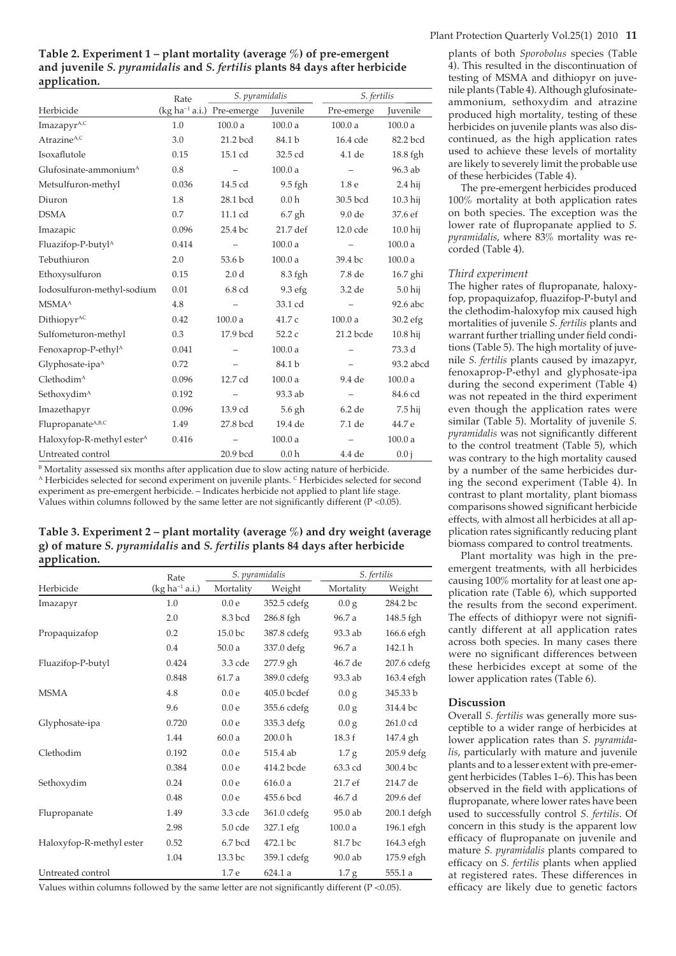**Table 2. Experiment 1 – plant mortality (average %) of pre-emergent and juvenile** *S. pyramidalis* **and** *S. fertilis* **plants 84 days after herbicide application.**

|                                       | Rate  | S. pyramidalis                 |                  | S. fertilis              |            |
|---------------------------------------|-------|--------------------------------|------------------|--------------------------|------------|
| Herbicide                             |       | $(kg ha^{-1} a.i.)$ Pre-emerge | Juvenile         | Pre-emerge               | Juvenile   |
| ImazapyrA,C                           | 1.0   | 100.0a                         | 100.0a           | 100.0a                   | 100.0a     |
| Atrazine <sup>A,C</sup>               | 3.0   | 21.2 bcd                       | 84.1 b           | 16.4 cde                 | 82.2 bcd   |
| Isoxaflutole                          | 0.15  | 15.1 cd                        | 32.5 cd          | 4.1 de                   | $18.8$ fgh |
| Glufosinate-ammonium <sup>A</sup>     | 0.8   | $\qquad \qquad -$              | 100.0a           | $\qquad \qquad -$        | 96.3 ab    |
| Metsulfuron-methyl                    | 0.036 | 14.5 cd                        | 9.5 fgh          | 1.8 <sub>e</sub>         | $2.4$ hij  |
| Diuron                                | 1.8   | 28.1 bcd                       | 0.0 <sub>h</sub> | 30.5 bcd                 | 10.3 hij   |
| <b>DSMA</b>                           | 0.7   | 11.1 cd                        | $6.7$ gh         | 9.0 de                   | 37.6 ef    |
| Imazapic                              | 0.096 | 25.4 bc                        | 21.7 def         | 12.0 cde                 | $10.0$ hij |
| Fluazifop-P-butyl <sup>A</sup>        | 0.414 |                                | 100.0 a          |                          | 100.0a     |
| Tebuthiuron                           | 2.0   | 53.6 <sub>b</sub>              | 100.0a           | 39.4 bc                  | 100.0a     |
| Ethoxysulfuron                        | 0.15  | 2.0 <sub>d</sub>               | 8.3 fgh          | 7.8 de                   | $16.7$ ghi |
| Iodosulfuron-methyl-sodium            | 0.01  | 6.8 cd                         | 9.3 efg          | 3.2 de                   | $5.0$ hij  |
| <b>MSMA</b> <sup>A</sup>              | 4.8   | $\qquad \qquad -$              | 33.1 cd          | $\overline{\phantom{m}}$ | 92.6 abc   |
| Dithiopyr <sup>AC</sup>               | 0.42  | 100.0a                         | 41.7c            | 100.0a                   | $30.2$ efg |
| Sulfometuron-methyl                   | 0.3   | 17.9 bcd                       | 52.2c            | 21.2 bcde                | $10.8$ hij |
| Fenoxaprop-P-ethyl <sup>A</sup>       | 0.041 |                                | 100.0a           |                          | 73.3 d     |
| Glyphosate-ipa <sup>A</sup>           | 0.72  |                                | 84.1 b           |                          | 93.2 abcd  |
| Clethodim <sup>A</sup>                | 0.096 | 12.7 cd                        | 100.0a           | 9.4 de                   | 100.0a     |
| Sethoxydim <sup>A</sup>               | 0.192 | $\overline{\phantom{0}}$       | 93.3 ab          | $\overline{\phantom{a}}$ | 84.6 cd    |
| Imazethapyr                           | 0.096 | 13.9 cd                        | $5.6$ gh         | 6.2 de                   | 7.5 hij    |
| Flupropanate <sup>A,B,C</sup>         | 1.49  | 27.8 bcd                       | 19.4 de          | 7.1 de                   | 44.7 e     |
| Haloxyfop-R-methyl ester <sup>A</sup> | 0.416 |                                | 100.0a           |                          | 100.0a     |
| Untreated control                     |       | 20.9 bcd                       | 0.0 <sub>h</sub> | $4.4$ de                 | 0.0 i      |

B Mortality assessed six months after application due to slow acting nature of herbicide. A Herbicides selected for second experiment on juvenile plants. C Herbicides selected for second experiment as pre-emergent herbicide. – Indicates herbicide not applied to plant life stage. Values within columns followed by the same letter are not significantly different ( $P < 0.05$ ).

**Table 3. Experiment 2 – plant mortality (average %) and dry weight (average g) of mature** *S. pyramidalis* **and** *S. fertilis* **plants 84 days after herbicide application.** 

|                          | Rate                |                  | S. pyramidalis     |                  | S. fertilis   |
|--------------------------|---------------------|------------------|--------------------|------------------|---------------|
| Herbicide                | $(kg ha^{-1} a.i.)$ | Mortality        | Weight             | Mortality        | Weight        |
| Imazapyr                 | 1.0                 | 0.0e             | 352.5 cdefg        | 0.0 g            | 284.2 bc      |
|                          | 2.0                 | 8.3 bcd          | 286.8 fgh          | 96.7 a           | 148.5 fgh     |
| Propaquizafop            | 0.2                 | 15.0 bc          | 387.8 cdefg        | 93.3 ab          | 166.6 efgh    |
|                          | 0.4                 | 50.0a            | 337.0 defg         | 96.7 a           | 142.1 h       |
| Fluazifop-P-butyl        | 0.424               | 3.3 cde          | 277.9 gh           | 46.7 de          | $207.6$ cdefg |
|                          | 0.848               | 61.7 a           | 389.0 cdefg        | 93.3 ab          | 163.4 efgh    |
| <b>MSMA</b>              | 4.8                 | 0.0 <sub>e</sub> | 405.0 bcdef        | 0.0 g            | 345.33 b      |
|                          | 9.6                 | 0.0e             | 355.6 cdefg        | 0.0 g            | 314.4 bc      |
| Glyphosate-ipa           | 0.720               | 0.0e             | 335.3 defg         | 0.0 g            | 261.0 cd      |
|                          | 1.44                | 60.0a            | 200.0 <sub>h</sub> | 18.3 f           | 147.4 gh      |
| Clethodim                | 0.192               | 0.0 <sub>e</sub> | 515.4 ab           | 1.7 g            | 205.9 defg    |
|                          | 0.384               | 0.0e             | 414.2 bcde         | 63.3 cd          | 300.4 bc      |
| Sethoxydim               | 0.24                | 0.0e             | 616.0a             | 21.7 ef          | 214.7 de      |
|                          | 0.48                | 0.0e             | 455.6 bcd          | 46.7 d           | 209.6 def     |
| Flupropanate             | 1.49                | 3.3 cde          | $361.0$ cdefg      | $95.0$ ab        | $200.1$ defgh |
|                          | 2.98                | $5.0$ cde        | 327.1 efg          | 100.0a           | 196.1 efgh    |
| Haloxyfop-R-methyl ester | 0.52                | 6.7 bcd          | 472.1 bc           | 81.7 bc          | 164.3 efgh    |
|                          | 1.04                | 13.3 bc          | 359.1 cdefg        | 90.0 ab          | 175.9 efgh    |
| Untreated control        |                     | 1.7 e            | 624.1a             | 1.7 <sub>g</sub> | 555.1 a       |

Values within columns followed by the same letter are not significantly different ( $P < 0.05$ ).

plants of both *Sporobolus* species (Table 4). This resulted in the discontinuation of testing of MSMA and dithiopyr on juvenile plants (Table 4). Although glufosinateammonium, sethoxydim and atrazine produced high mortality, testing of these herbicides on juvenile plants was also discontinued, as the high application rates used to achieve these levels of mortality are likely to severely limit the probable use of these herbicides (Table 4).

The pre-emergent herbicides produced 100% mortality at both application rates on both species. The exception was the lower rate of flupropanate applied to *S*. *pyramidalis*, where 83% mortality was recorded (Table 4).

## *Third experiment*

The higher rates of flupropanate, haloxyfop, propaquizafop, fluazifop-P-butyl and the clethodim-haloxyfop mix caused high mortalities of juvenile *S. fertilis* plants and warrant further trialling under field conditions (Table 5). The high mortality of juvenile *S. fertilis* plants caused by imazapyr, fenoxaprop-P-ethyl and glyphosate-ipa during the second experiment (Table 4) was not repeated in the third experiment even though the application rates were similar (Table 5). Mortality of juvenile *S.*  pyramidalis was not significantly different to the control treatment (Table 5), which was contrary to the high mortality caused by a number of the same herbicides during the second experiment (Table 4). In contrast to plant mortality, plant biomass comparisons showed significant herbicide effects, with almost all herbicides at all application rates significantly reducing plant biomass compared to control treatments.

Plant mortality was high in the preemergent treatments, with all herbicides causing 100% mortality for at least one application rate (Table 6), which supported the results from the second experiment. The effects of dithiopyr were not significantly different at all application rates across both species. In many cases there were no significant differences between these herbicides except at some of the lower application rates (Table 6).

## **Discussion**

Overall *S. fertilis* was generally more susceptible to a wider range of herbicides at lower application rates than *S. pyramidalis*, particularly with mature and juvenile plants and to a lesser extent with pre-emergent herbicides (Tables 1–6). This has been observed in the field with applications of flupropanate, where lower rates have been used to successfully control *S. fertilis*. Of concern in this study is the apparent low efficacy of flupropanate on juvenile and mature *S. pyramidalis* plants compared to efficacy on *S. fertilis* plants when applied at registered rates. These differences in efficacy are likely due to genetic factors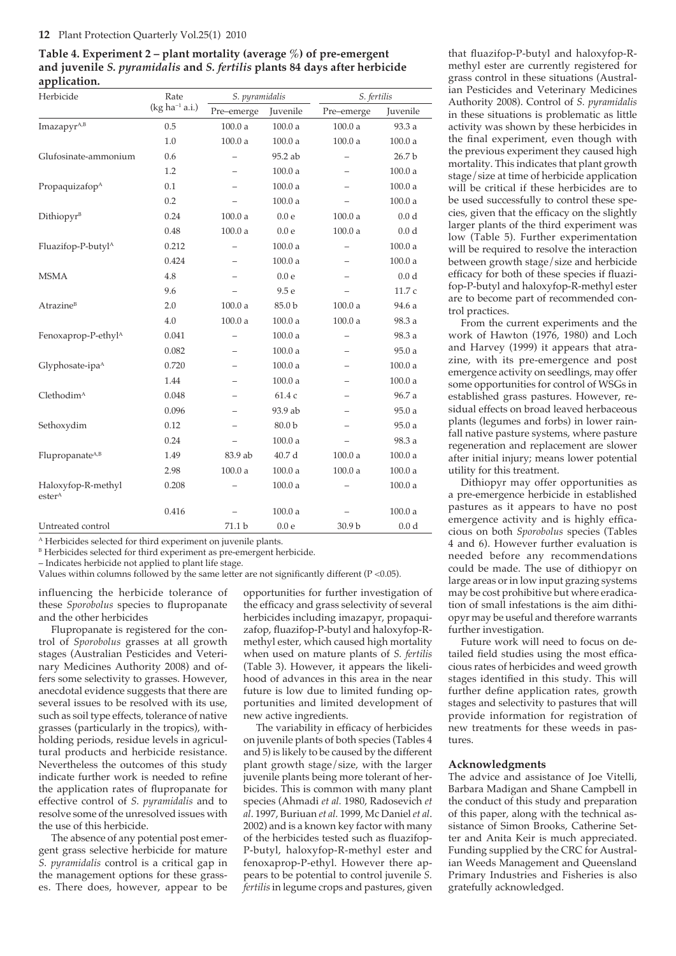## **12** Plant Protection Quarterly Vol.25(1) 2010

**Table 4. Experiment 2 – plant mortality (average %) of pre-emergent and juvenile** *S. pyramidalis* **and** *S. fertilis* **plants 84 days after herbicide application.** 

| Herbicide                                | Rate                | S. pyramidalis    |                   | S. fertilis              |                  |
|------------------------------------------|---------------------|-------------------|-------------------|--------------------------|------------------|
|                                          | $(kg ha^{-1} a.i.)$ | Pre-emerge        | Juvenile          | Pre-emerge               | Juvenile         |
| ImazapyrA,B                              | 0.5                 | 100.0a            | 100.0a            | 100.0a                   | 93.3 a           |
|                                          | 1.0                 | 100.0a            | 100.0a            | 100.0a                   | 100.0a           |
| Glufosinate-ammonium                     | 0.6                 |                   | 95.2 ab           |                          | 26.7 b           |
|                                          | 1.2                 |                   | 100.0a            |                          | 100.0a           |
| Propaquizafop <sup>A</sup>               | 0.1                 |                   | 100.0a            |                          | 100.0a           |
|                                          | 0.2                 |                   | 100.0a            |                          | 100.0a           |
| Dithiopyr <sup>B</sup>                   | 0.24                | 100.0a            | 0.0 <sub>e</sub>  | 100.0a                   | 0.0 <sub>d</sub> |
|                                          | 0.48                | 100.0a            | 0.0 <sub>e</sub>  | 100.0a                   | 0.0 <sub>d</sub> |
| Fluazifop-P-butyl <sup>A</sup>           | 0.212               | $\qquad \qquad -$ | 100.0a            |                          | 100.0a           |
|                                          | 0.424               |                   | 100.0a            |                          | 100.0a           |
| <b>MSMA</b>                              | 4.8                 |                   | 0.0 <sub>e</sub>  |                          | 0.0 <sub>d</sub> |
|                                          | 9.6                 |                   | 9.5 e             |                          | 11.7 c           |
| <b>Atrazine</b> <sup>B</sup>             | 2.0                 | 100.0a            | 85.0 b            | 100.0a                   | 94.6 a           |
|                                          | 4.0                 | 100.0a            | 100.0a            | 100.0a                   | 98.3 a           |
| Fenoxaprop-P-ethyl <sup>A</sup>          | 0.041               | —                 | 100.0a            | $\overline{\phantom{0}}$ | 98.3 a           |
|                                          | 0.082               | —                 | 100.0a            |                          | 95.0a            |
| Glyphosate-ipa <sup>A</sup>              | 0.720               | -                 | 100.0a            |                          | 100.0a           |
|                                          | 1.44                |                   | 100.0a            |                          | 100.0a           |
| Clethodim <sup>A</sup>                   | 0.048               |                   | 61.4 с            |                          | 96.7 a           |
|                                          | 0.096               |                   | 93.9 ab           |                          | 95.0a            |
| Sethoxydim                               | 0.12                |                   | 80.0 <sub>b</sub> |                          | 95.0 a           |
|                                          | 0.24                |                   | 100.0a            |                          | 98.3 a           |
| Flupropanate <sup>A,B</sup>              | 1.49                | 83.9 ab           | 40.7 d            | 100.0a                   | 100.0a           |
|                                          | 2.98                | 100.0a            | 100.0a            | 100.0a                   | 100.0a           |
| Haloxyfop-R-methyl<br>ester <sup>A</sup> | 0.208               |                   | 100.0a            |                          | 100.0a           |
|                                          | 0.416               |                   | 100.0a            |                          | 100.0a           |
| Untreated control                        |                     | 71.1 b            | 0.0 <sub>e</sub>  | 30.9 <sub>b</sub>        | 0.0 <sub>d</sub> |

A Herbicides selected for third experiment on juvenile plants.

<sup>B</sup> Herbicides selected for third experiment as pre-emergent herbicide.

– Indicates herbicide not applied to plant life stage.

Values within columns followed by the same letter are not significantly different ( $P < 0.05$ ).

influencing the herbicide tolerance of these *Sporobolus* species to flupropanate and the other herbicides

Flupropanate is registered for the control of *Sporobolus* grasses at all growth stages (Australian Pesticides and Veterinary Medicines Authority 2008) and offers some selectivity to grasses. However, anecdotal evidence suggests that there are several issues to be resolved with its use, such as soil type effects, tolerance of native grasses (particularly in the tropics), withholding periods, residue levels in agricultural products and herbicide resistance. Nevertheless the outcomes of this study indicate further work is needed to refine the application rates of flupropanate for effective control of *S. pyramidalis* and to resolve some of the unresolved issues with the use of this herbicide.

The absence of any potential post emergent grass selective herbicide for mature *S. pyramidalis* control is a critical gap in the management options for these grasses. There does, however, appear to be opportunities for further investigation of the efficacy and grass selectivity of several herbicides including imazapyr, propaquizafop, fluazifop-P-butyl and haloxyfop-Rmethyl ester, which caused high mortality when used on mature plants of *S. fertilis* (Table 3). However, it appears the likelihood of advances in this area in the near future is low due to limited funding opportunities and limited development of new active ingredients.

The variability in efficacy of herbicides on juvenile plants of both species (Tables 4 and 5) is likely to be caused by the different plant growth stage/size, with the larger juvenile plants being more tolerant of herbicides. This is common with many plant species (Ahmadi *et al.* 1980, Radosevich *et al*. 1997, Buriuan *et al.* 1999, Mc Daniel *et al*. 2002) and is a known key factor with many of the herbicides tested such as fluazifop-P-butyl, haloxyfop-R-methyl ester and fenoxaprop-P-ethyl. However there appears to be potential to control juvenile *S. fertilis* in legume crops and pastures, given that fluazifop-P-butyl and haloxyfop-Rmethyl ester are currently registered for grass control in these situations (Australian Pesticides and Veterinary Medicines Authority 2008). Control of *S. pyramidalis* in these situations is problematic as little activity was shown by these herbicides in the final experiment, even though with the previous experiment they caused high mortality. This indicates that plant growth stage/size at time of herbicide application will be critical if these herbicides are to be used successfully to control these species, given that the efficacy on the slightly larger plants of the third experiment was low (Table 5). Further experimentation will be required to resolve the interaction between growth stage/size and herbicide efficacy for both of these species if fluazifop-P-butyl and haloxyfop-R-methyl ester are to become part of recommended control practices.

From the current experiments and the work of Hawton (1976, 1980) and Loch and Harvey (1999) it appears that atrazine, with its pre-emergence and post emergence activity on seedlings, may offer some opportunities for control of WSGs in established grass pastures. However, residual effects on broad leaved herbaceous plants (legumes and forbs) in lower rainfall native pasture systems, where pasture regeneration and replacement are slower after initial injury; means lower potential utility for this treatment.

Dithiopyr may offer opportunities as a pre-emergence herbicide in established pastures as it appears to have no post emergence activity and is highly efficacious on both *Sporobolus* species (Tables 4 and 6). However further evaluation is needed before any recommendations could be made. The use of dithiopyr on large areas or in low input grazing systems may be cost prohibitive but where eradication of small infestations is the aim dithiopyr may be useful and therefore warrants further investigation.

Future work will need to focus on detailed field studies using the most efficacious rates of herbicides and weed growth stages identified in this study. This will further define application rates, growth stages and selectivity to pastures that will provide information for registration of new treatments for these weeds in pastures.

## **Acknowledgments**

The advice and assistance of Joe Vitelli, Barbara Madigan and Shane Campbell in the conduct of this study and preparation of this paper, along with the technical assistance of Simon Brooks, Catherine Setter and Anita Keir is much appreciated. Funding supplied by the CRC for Australian Weeds Management and Queensland Primary Industries and Fisheries is also gratefully acknowledged.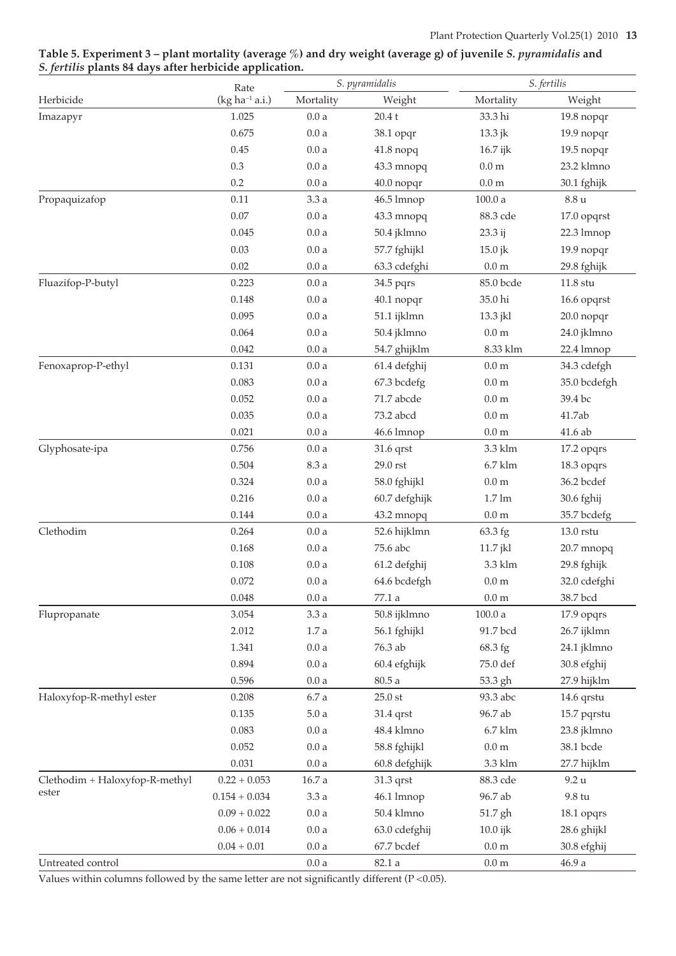| Table 5. Experiment 3 – plant mortality (average %) and dry weight (average g) of juvenile S. <i>pyramidalis</i> and |  |
|----------------------------------------------------------------------------------------------------------------------|--|
| S. fertilis plants 84 days after herbicide application.                                                              |  |

| Rate<br>$(kg ha-1 a.i.)$<br>Mortality<br>Weight<br>Mortality<br>Herbicide<br>1.025<br>33.3 hi<br>0.0a<br>20.4t<br>Imazapyr | Weight<br>19.8 nopqr |
|----------------------------------------------------------------------------------------------------------------------------|----------------------|
|                                                                                                                            |                      |
|                                                                                                                            |                      |
| 0.675<br>0.0a<br>38.1 opqr<br>13.3 jk                                                                                      | 19.9 nopqr           |
| 0.45<br>0.0a<br>$41.8$ nopq<br>16.7 ijk                                                                                    | 19.5 nopqr           |
| 0.3<br>0.0a<br>43.3 mnopq<br>$0.0\ \mathrm{m}$                                                                             | 23.2 klmno           |
| 0.2<br>$0.0\ \rm{a}$<br>0.0 <sub>m</sub><br>40.0 nopqr                                                                     | 30.1 fghijk          |
| 0.11<br>3.3 a<br>100.0a<br>$8.8\,\mathrm{u}$<br>Propaquizafop<br>46.5 lmnop                                                |                      |
| $0.07\,$<br>0.0a<br>43.3 mnopq<br>88.3 cde                                                                                 | 17.0 opqrst          |
| 0.045<br>0.0a<br>50.4 jklmno<br>23.3 ij                                                                                    | 22.3 lmnop           |
| 0.03<br>0.0a<br>57.7 fghijkl<br>15.0 jk                                                                                    | 19.9 nopqr           |
| 0.02<br>0.0a<br>$0.0\;\mathrm{m}$<br>63.3 cdefghi                                                                          | 29.8 fghijk          |
| Fluazifop-P-butyl<br>0.223<br>0.0a<br>85.0 bcde<br>$11.8$ stu<br>34.5 pqrs                                                 |                      |
| 0.148<br>0.0a<br>35.0 hi<br>40.1 nopqr                                                                                     | 16.6 opqrst          |
| 0.095<br>0.0a<br>51.1 ijklmn<br>13.3 jkl                                                                                   | 20.0 nopqr           |
| 0.064<br>0.0a<br>0.0 <sub>m</sub><br>50.4 jklmno                                                                           | 24.0 jklmno          |
| 0.042<br>0.0a<br>8.33 klm<br>54.7 ghijklm                                                                                  | 22.4 lmnop           |
| 0.131<br>0.0a<br>0.0 <sub>m</sub><br>Fenoxaprop-P-ethyl<br>61.4 defghij                                                    | 34.3 cdefgh          |
| 0.083<br>0.0a<br>0.0 <sub>m</sub><br>67.3 bcdefg                                                                           | 35.0 bcdefgh         |
| 0.052<br>0.0a<br>71.7 abcde<br>0.0 <sub>m</sub><br>39.4 bc                                                                 |                      |
| 0.035<br>0.0a<br>73.2 abcd<br>0.0 <sub>m</sub><br>41.7ab                                                                   |                      |
| 0.021<br>0.0a<br>0.0 <sub>m</sub><br>41.6 ab<br>46.6 lmnop                                                                 |                      |
| 0.756<br>0.0a<br>3.3 klm<br>Glyphosate-ipa<br>31.6 qrst                                                                    | 17.2 opqrs           |
| 0.504<br>8.3 a<br>$29.0$ rst<br>$6.7$ klm                                                                                  | 18.3 opqrs           |
| 0.0a<br>0.324<br>0.0 <sub>m</sub><br>58.0 fghijkl                                                                          | 36.2 bcdef           |
| 0.216<br>0.0a<br>$1.7 \text{ lm}$<br>60.7 defghijk                                                                         | 30.6 fghij           |
| 0.144<br>0.0a<br>0.0 <sub>m</sub><br>43.2 mnopq                                                                            | 35.7 bcdefg          |
| Clethodim<br>0.264<br>0.0a<br>52.6 hijklmn<br>63.3 fg<br>13.0 rstu                                                         |                      |
| 0.168<br>0.0a<br>75.6 abc<br>11.7 jkl                                                                                      | 20.7 mnopq           |
| 0.108<br>0.0a<br>61.2 defghij<br>3.3 klm                                                                                   | 29.8 fghijk          |
| 0.072<br>0.0a<br>64.6 bcdefgh<br>0.0 <sub>m</sub>                                                                          | 32.0 cdefghi         |
| 0.048<br>0.0 <sub>m</sub><br>38.7 bcd<br>0.0a<br>77.1 a                                                                    |                      |
| 3.054<br>Flupropanate<br>3.3a<br>50.8 ijklmno<br>100.0a                                                                    | 17.9 opqrs           |
| 2.012<br>$1.7\,\mathrm{a}$<br>56.1 fghijkl<br>91.7 bcd                                                                     | 26.7 ijklmn          |
| 76.3 ab<br>1.341<br>0.0a<br>68.3 fg                                                                                        | 24.1 jklmno          |
| 0.894<br>60.4 efghijk<br>0.0a<br>75.0 def                                                                                  | 30.8 efghij          |
| 0.596<br>0.0a<br>80.5a<br>53.3 gh                                                                                          | 27.9 hijklm          |
| Haloxyfop-R-methyl ester<br>0.208<br>6.7 a<br>$25.0$ st<br>93.3 abc                                                        | 14.6 qrstu           |
| 0.135<br>5.0a<br>96.7 ab<br>31.4 qrst                                                                                      | 15.7 pqrstu          |
| 0.083<br>0.0a<br>48.4 klmno<br>$6.7$ klm                                                                                   | 23.8 jklmno          |
| 0.052<br>58.8 fghijkl<br>$0.0\ \mathrm{m}$<br>0.0a                                                                         | 38.1 bcde            |
| 0.031<br>0.0a<br>60.8 defghijk<br>3.3 klm                                                                                  | 27.7 hijklm          |
| Clethodim + Haloxyfop-R-methyl<br>$0.22 + 0.053$<br>$16.7\ \rm{a}$<br>31.3 qrst<br>88.3 cde<br>9.2 u                       |                      |
| ester<br>$0.154 + 0.034$<br>3.3a<br>46.1 lmnop<br>96.7 ab<br>9.8 tu                                                        |                      |
| $0.09 + 0.022$<br>50.4 klmno<br>0.0a<br>51.7 gh                                                                            | 18.1 opqrs           |
| $0.06 + 0.014$<br>0.0a<br>63.0 cdefghij<br>$10.0$ ijk                                                                      | 28.6 ghijkl          |
| $67.7\rm\,bcdef$<br>$0.04 + 0.01$<br>0.0a<br>$0.0\ \mathrm{m}$                                                             | 30.8 efghij          |
| Untreated control<br>82.1a<br>$0.0\ \mathrm{m}$<br>46.9 a<br>0.0a                                                          |                      |

Values within columns followed by the same letter are not significantly different (P <0.05).